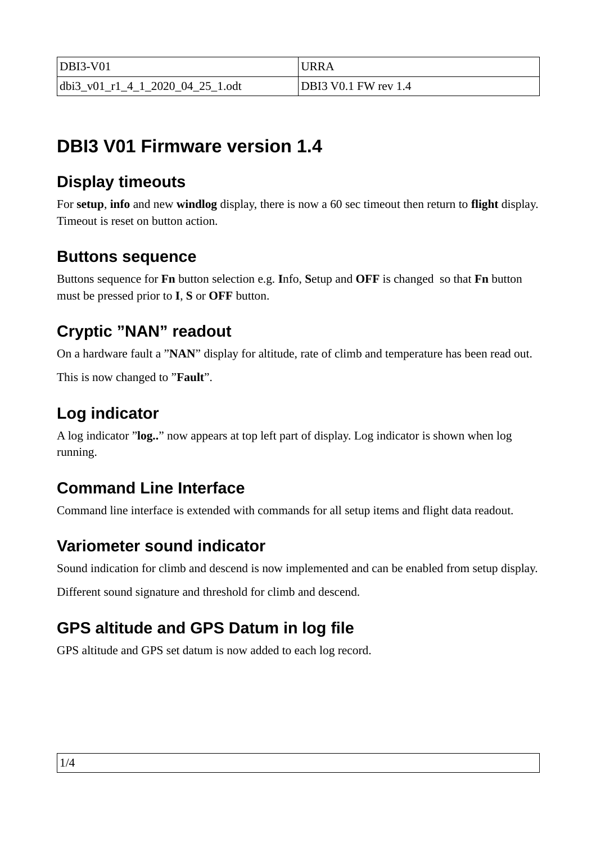| $ DBI3-V01$                      | URRA                 |
|----------------------------------|----------------------|
| dbi3 v01 r1 4 1 2020 04 25 1.odt | DBI3 V0.1 FW rev 1.4 |

# **DBI3 V01 Firmware version 1.4**

## **Display timeouts**

For **setup**, **info** and new **windlog** display, there is now a 60 sec timeout then return to **flight** display. Timeout is reset on button action.

### **Buttons sequence**

Buttons sequence for **Fn** button selection e.g. **I**nfo, **S**etup and **OFF** is changed so that **Fn** button must be pressed prior to **I**, **S** or **OFF** button.

## **Cryptic "NAN" readout**

On a hardware fault a "**NAN**" display for altitude, rate of climb and temperature has been read out.

This is now changed to "**Fault**".

# **Log indicator**

A log indicator "**log..**" now appears at top left part of display. Log indicator is shown when log running.

# **Command Line Interface**

Command line interface is extended with commands for all setup items and flight data readout.

## **Variometer sound indicator**

Sound indication for climb and descend is now implemented and can be enabled from setup display.

Different sound signature and threshold for climb and descend.

# **GPS altitude and GPS Datum in log file**

GPS altitude and GPS set datum is now added to each log record.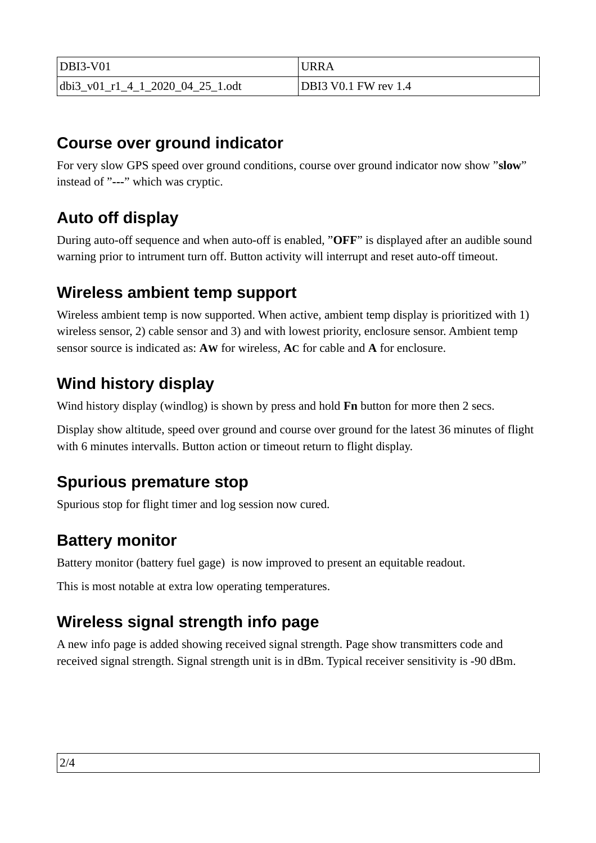| $DBI3-V01$                           | <b>URRA</b>                 |
|--------------------------------------|-----------------------------|
| $ dbi3_v01_r1_4_1_2020_04_25_1.$ odt | <b>DBI3 V0.1 FW rev 1.4</b> |

#### **Course over ground indicator**

For very slow GPS speed over ground conditions, course over ground indicator now show "**slow**" instead of "**---**" which was cryptic.

## **Auto off display**

During auto-off sequence and when auto-off is enabled, "**OFF**" is displayed after an audible sound warning prior to intrument turn off. Button activity will interrupt and reset auto-off timeout.

### **Wireless ambient temp support**

Wireless ambient temp is now supported. When active, ambient temp display is prioritized with 1) wireless sensor, 2) cable sensor and 3) and with lowest priority, enclosure sensor. Ambient temp sensor source is indicated as: **AW** for wireless, **AC** for cable and **A** for enclosure.

## **Wind history display**

Wind history display (windlog) is shown by press and hold **Fn** button for more then 2 secs.

Display show altitude, speed over ground and course over ground for the latest 36 minutes of flight with 6 minutes intervalls. Button action or timeout return to flight display.

#### **Spurious premature stop**

Spurious stop for flight timer and log session now cured.

#### **Battery monitor**

Battery monitor (battery fuel gage) is now improved to present an equitable readout.

This is most notable at extra low operating temperatures.

## **Wireless signal strength info page**

A new info page is added showing received signal strength. Page show transmitters code and received signal strength. Signal strength unit is in dBm. Typical receiver sensitivity is -90 dBm.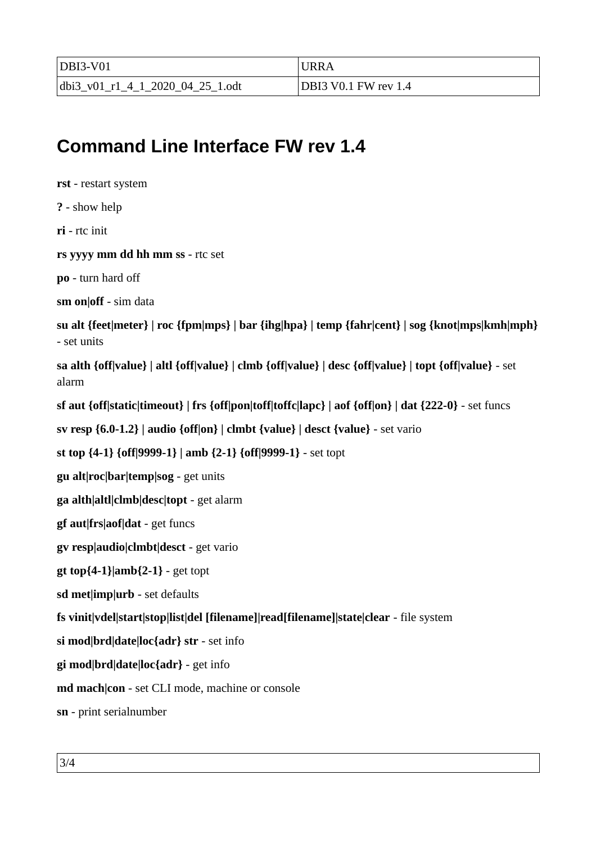| $DBI3-V01$                       | <b>URRA</b>                 |
|----------------------------------|-----------------------------|
| dbi3_v01_r1_4_1_2020_04_25_1.odt | <b>DBI3 V0.1 FW rev 1.4</b> |

# **Command Line Interface FW rev 1.4**

**rst** - restart system **?** - show help **ri** - rtc init **rs yyyy mm dd hh mm ss** - rtc set **po** - turn hard off **sm on|off** - sim data **su alt {feet|meter} | roc {fpm|mps} | bar {ihg|hpa} | temp {fahr|cent} | sog {knot|mps|kmh|mph}** - set units **sa alth {off|value} | altl {off|value} | clmb {off|value} | desc {off|value} | topt {off|value}** - set alarm **sf aut {off|static|timeout} | frs {off|pon|toff|toffc|lapc} | aof {off|on} | dat {222-0}** - set funcs **sv resp {6.0-1.2} | audio {off|on} | clmbt {value} | desct {value}** - set vario **st top {4-1} {off|9999-1} | amb {2-1} {off|9999-1}** - set topt **gu alt|roc|bar|temp|sog** - get units **ga alth|altl|clmb|desc|topt** - get alarm **gf aut|frs|aof|dat** - get funcs **gv resp|audio|clmbt|desct** - get vario **gt top{4-1}|amb{2-1}** - get topt **sd met|imp|urb** - set defaults **fs vinit|vdel|start|stop|list|del [filename]|read[filename]|state|clear** - file system **si mod|brd|date|loc{adr} str** - set info **gi mod|brd|date|loc{adr}** - get info **md mach|con** - set CLI mode, machine or console **sn** - print serialnumber